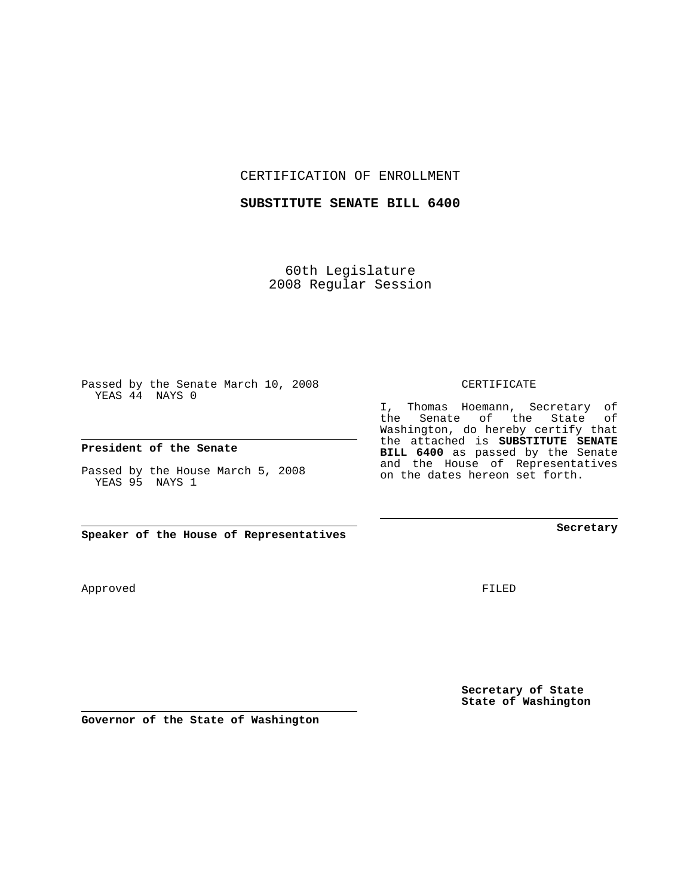CERTIFICATION OF ENROLLMENT

## **SUBSTITUTE SENATE BILL 6400**

60th Legislature 2008 Regular Session

Passed by the Senate March 10, 2008 YEAS 44 NAYS 0

## **President of the Senate**

Passed by the House March 5, 2008 YEAS 95 NAYS 1

**Speaker of the House of Representatives**

Approved

**Secretary of State State of Washington**

**Governor of the State of Washington**

## CERTIFICATE

I, Thomas Hoemann, Secretary of the Senate of the State of Washington, do hereby certify that the attached is **SUBSTITUTE SENATE BILL 6400** as passed by the Senate and the House of Representatives on the dates hereon set forth.

FILED

**Secretary**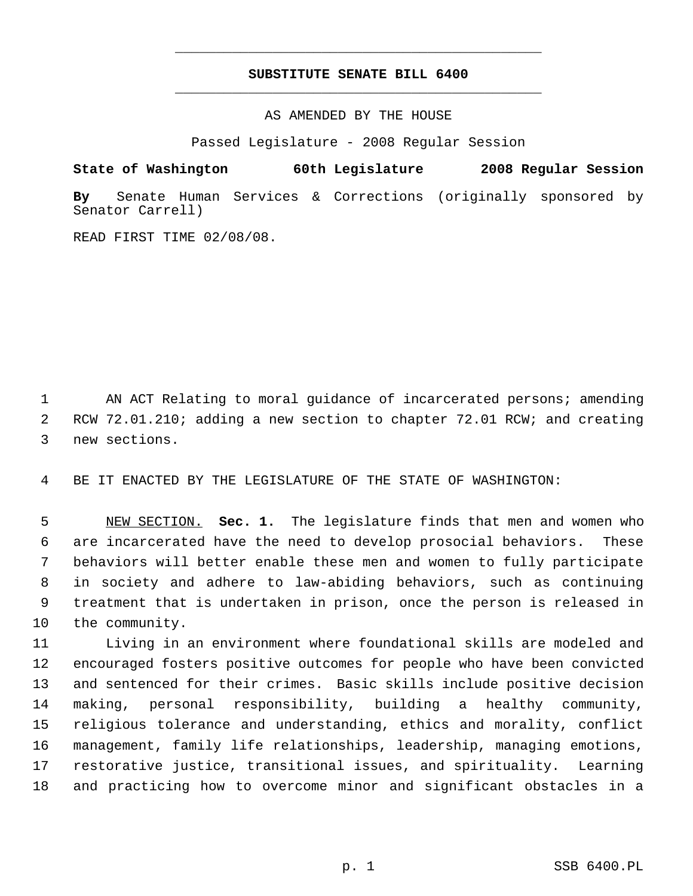## **SUBSTITUTE SENATE BILL 6400** \_\_\_\_\_\_\_\_\_\_\_\_\_\_\_\_\_\_\_\_\_\_\_\_\_\_\_\_\_\_\_\_\_\_\_\_\_\_\_\_\_\_\_\_\_

\_\_\_\_\_\_\_\_\_\_\_\_\_\_\_\_\_\_\_\_\_\_\_\_\_\_\_\_\_\_\_\_\_\_\_\_\_\_\_\_\_\_\_\_\_

AS AMENDED BY THE HOUSE

Passed Legislature - 2008 Regular Session

**State of Washington 60th Legislature 2008 Regular Session**

**By** Senate Human Services & Corrections (originally sponsored by Senator Carrell)

READ FIRST TIME 02/08/08.

1 AN ACT Relating to moral guidance of incarcerated persons; amending RCW 72.01.210; adding a new section to chapter 72.01 RCW; and creating new sections.

BE IT ENACTED BY THE LEGISLATURE OF THE STATE OF WASHINGTON:

 NEW SECTION. **Sec. 1.** The legislature finds that men and women who are incarcerated have the need to develop prosocial behaviors. These behaviors will better enable these men and women to fully participate in society and adhere to law-abiding behaviors, such as continuing treatment that is undertaken in prison, once the person is released in the community.

 Living in an environment where foundational skills are modeled and encouraged fosters positive outcomes for people who have been convicted and sentenced for their crimes. Basic skills include positive decision making, personal responsibility, building a healthy community, religious tolerance and understanding, ethics and morality, conflict management, family life relationships, leadership, managing emotions, restorative justice, transitional issues, and spirituality. Learning and practicing how to overcome minor and significant obstacles in a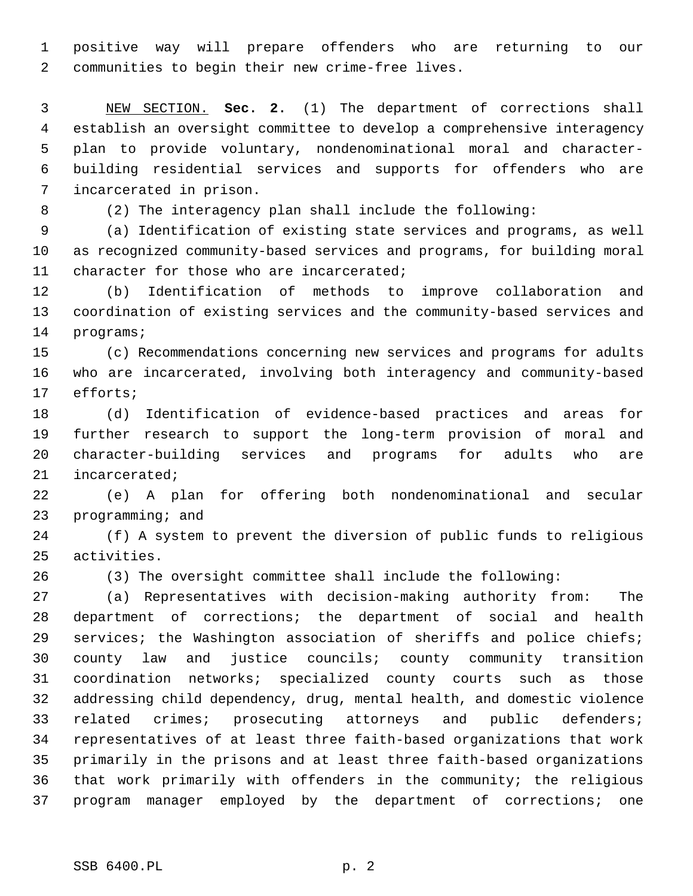positive way will prepare offenders who are returning to our communities to begin their new crime-free lives.

 NEW SECTION. **Sec. 2.** (1) The department of corrections shall establish an oversight committee to develop a comprehensive interagency plan to provide voluntary, nondenominational moral and character- building residential services and supports for offenders who are incarcerated in prison.

(2) The interagency plan shall include the following:

 (a) Identification of existing state services and programs, as well as recognized community-based services and programs, for building moral 11 character for those who are incarcerated;

 (b) Identification of methods to improve collaboration and coordination of existing services and the community-based services and programs;

 (c) Recommendations concerning new services and programs for adults who are incarcerated, involving both interagency and community-based efforts;

 (d) Identification of evidence-based practices and areas for further research to support the long-term provision of moral and character-building services and programs for adults who are incarcerated;

 (e) A plan for offering both nondenominational and secular programming; and

 (f) A system to prevent the diversion of public funds to religious activities.

(3) The oversight committee shall include the following:

 (a) Representatives with decision-making authority from: The department of corrections; the department of social and health services; the Washington association of sheriffs and police chiefs; county law and justice councils; county community transition coordination networks; specialized county courts such as those addressing child dependency, drug, mental health, and domestic violence related crimes; prosecuting attorneys and public defenders; representatives of at least three faith-based organizations that work primarily in the prisons and at least three faith-based organizations that work primarily with offenders in the community; the religious program manager employed by the department of corrections; one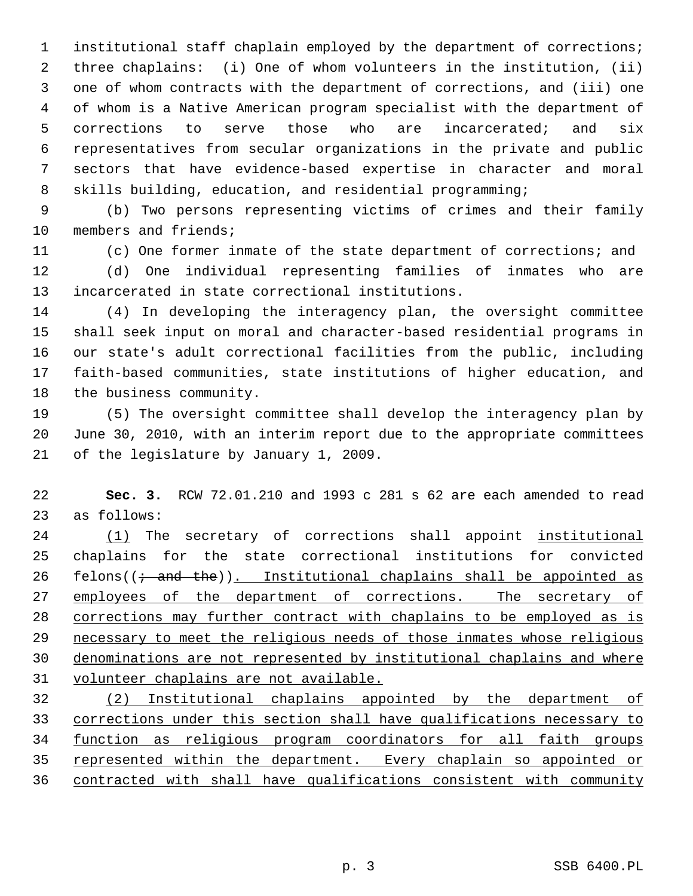institutional staff chaplain employed by the department of corrections; three chaplains: (i) One of whom volunteers in the institution, (ii) one of whom contracts with the department of corrections, and (iii) one of whom is a Native American program specialist with the department of corrections to serve those who are incarcerated; and six representatives from secular organizations in the private and public sectors that have evidence-based expertise in character and moral skills building, education, and residential programming;

 (b) Two persons representing victims of crimes and their family members and friends;

(c) One former inmate of the state department of corrections; and

 (d) One individual representing families of inmates who are incarcerated in state correctional institutions.

 (4) In developing the interagency plan, the oversight committee shall seek input on moral and character-based residential programs in our state's adult correctional facilities from the public, including faith-based communities, state institutions of higher education, and the business community.

 (5) The oversight committee shall develop the interagency plan by June 30, 2010, with an interim report due to the appropriate committees of the legislature by January 1, 2009.

 **Sec. 3.** RCW 72.01.210 and 1993 c 281 s 62 are each amended to read as follows:

 (1) The secretary of corrections shall appoint institutional chaplains for the state correctional institutions for convicted 26 felons( $(i$  and the)). Institutional chaplains shall be appointed as 27 employees of the department of corrections. The secretary of corrections may further contract with chaplains to be employed as is necessary to meet the religious needs of those inmates whose religious denominations are not represented by institutional chaplains and where volunteer chaplains are not available.

 (2) Institutional chaplains appointed by the department of corrections under this section shall have qualifications necessary to function as religious program coordinators for all faith groups represented within the department. Every chaplain so appointed or contracted with shall have qualifications consistent with community